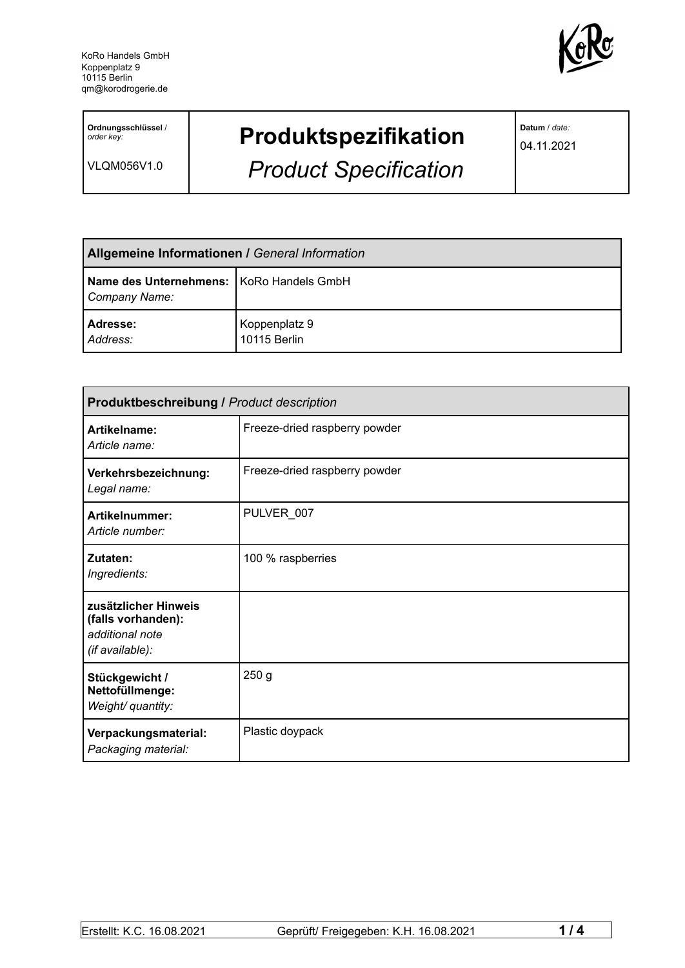

**Ordnungsschlüssel** / *order key:*

VLQM056V1.0

## **Produktspezifikation**

*Product Specification*

**Datum** / *date:*

04.11.2021

| <b>Allgemeine Informationen / General Information</b>       |                               |  |
|-------------------------------------------------------------|-------------------------------|--|
| Name des Unternehmens:   KoRo Handels GmbH<br>Company Name: |                               |  |
| Adresse:<br>Address:                                        | Koppenplatz 9<br>10115 Berlin |  |

| <b>Produktbeschreibung / Product description</b>                                 |                               |  |
|----------------------------------------------------------------------------------|-------------------------------|--|
| Artikelname:<br>Article name:                                                    | Freeze-dried raspberry powder |  |
| Verkehrsbezeichnung:<br>Legal name:                                              | Freeze-dried raspberry powder |  |
| Artikelnummer:<br>Article number:                                                | PULVER_007                    |  |
| Zutaten:<br>Ingredients:                                                         | 100 % raspberries             |  |
| zusätzlicher Hinweis<br>(falls vorhanden):<br>additional note<br>(if available): |                               |  |
| Stückgewicht /<br>Nettofüllmenge:<br>Weight/ quantity:                           | 250 <sub>g</sub>              |  |
| Verpackungsmaterial:<br>Packaging material:                                      | Plastic doypack               |  |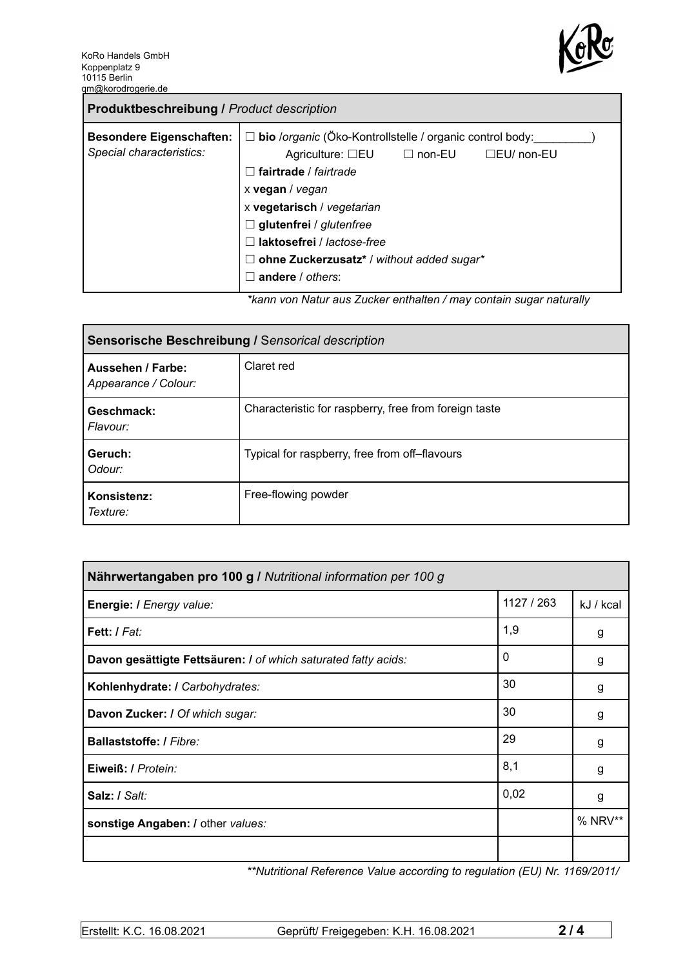

| <b>Produktbeschreibung / Product description</b>            |                                                                                                                                                                                                                                                                                                                                                                    |
|-------------------------------------------------------------|--------------------------------------------------------------------------------------------------------------------------------------------------------------------------------------------------------------------------------------------------------------------------------------------------------------------------------------------------------------------|
| <b>Besondere Eigenschaften:</b><br>Special characteristics: | $\Box$ bio /organic (Öko-Kontrollstelle / organic control body:<br>Agriculture: $\square$ EU $\square$ non-EU<br>$\Box$ EU/ non-EU<br>fairtrade / fairtrade<br>x vegan / vegan<br>x vegetarisch / vegetarian<br>$\Box$ glutenfrei / glutenfree<br>laktosefrei / lactose-free<br>ohne Zuckerzusatz* / without added sugar*<br>Ш<br>andere / others:<br>$\mathsf{L}$ |
|                                                             | *konnuga Naturaus Zueker enthelten / may centain sugar neturally                                                                                                                                                                                                                                                                                                   |

*\*kann von Natur aus Zucker enthalten / may contain sugar naturally*

| Sensorische Beschreibung / Sensorical description |                                                       |  |
|---------------------------------------------------|-------------------------------------------------------|--|
| Aussehen / Farbe:<br>Appearance / Colour:         | Claret red                                            |  |
| Geschmack:<br>Flavour:                            | Characteristic for raspberry, free from foreign taste |  |
| Geruch:<br>Odour:                                 | Typical for raspberry, free from off-flavours         |  |
| Konsistenz:<br>Texture:                           | Free-flowing powder                                   |  |

| Nährwertangaben pro 100 g / Nutritional information per 100 g  |            |           |
|----------------------------------------------------------------|------------|-----------|
| Energie: I Energy value:                                       | 1127 / 263 | kJ / kcal |
| Fett: / Fat:                                                   | 1,9        | g         |
| Davon gesättigte Fettsäuren: I of which saturated fatty acids: | 0          | g         |
| Kohlenhydrate: I Carbohydrates:                                | 30         | g         |
| Davon Zucker: I Of which sugar:                                | 30         | g         |
| Ballaststoffe: / Fibre:                                        | 29         | g         |
| Eiweiß: / Protein:                                             | 8,1        | g         |
| Salz: / Salt:                                                  | 0,02       | g         |
| sonstige Angaben: / other values:                              |            | % NRV**   |
|                                                                |            |           |

*\*\*Nutritional Reference Value according to regulation (EU) Nr. 1169/2011/*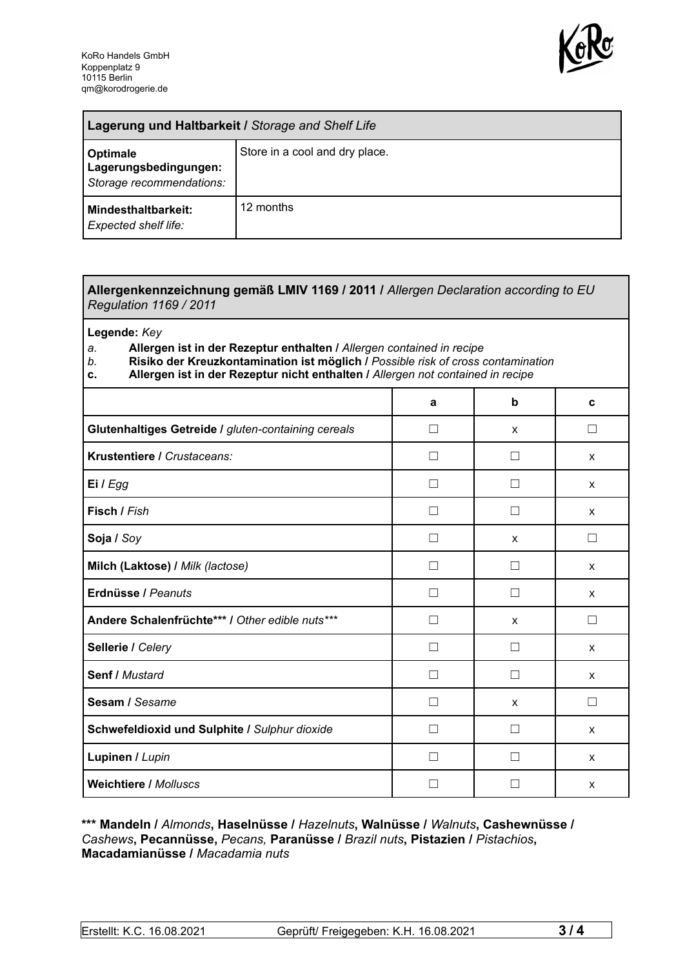

| Lagerung und Haltbarkeit / Storage and Shelf Life             |                                |  |
|---------------------------------------------------------------|--------------------------------|--|
| Optimale<br>Lagerungsbedingungen:<br>Storage recommendations: | Store in a cool and dry place. |  |
| <b>Mindesthaltbarkeit:</b><br>Expected shelf life:            | 12 months                      |  |

## **Allergenkennzeichnung gemäß LMIV 1169 / 2011 /** *Allergen Declaration according to EU Regulation 1169 / 2011*

**Legende:** *Key*

*a.* **Allergen ist in der Rezeptur enthalten /** *Allergen contained in recipe*

- *b.* **Risiko der Kreuzkontamination ist möglich /** *Possible risk of cross contamination*
- **c. Allergen ist in der Rezeptur nicht enthalten /** *Allergen not contained in recipe*

|                                                     | a                 | b                 | C      |
|-----------------------------------------------------|-------------------|-------------------|--------|
| Glutenhaltiges Getreide / gluten-containing cereals | П                 | X                 | П      |
| Krustentiere / Crustaceans:                         | Ш                 | $\mathbf{I}$      | X      |
| Ei / Egg                                            |                   |                   | X      |
| Fisch / Fish                                        |                   |                   | X      |
| Soja / Soy                                          |                   | X                 | Ш      |
| Milch (Laktose) / Milk (lactose)                    | П                 |                   | X      |
| Erdnüsse / Peanuts                                  | П                 | $\Box$            | X      |
| Andere Schalenfrüchte*** / Other edible nuts***     | П                 | X                 | П      |
| Sellerie / Celery                                   | $\vert \ \ \vert$ | $\vert \ \ \vert$ | X      |
| Senf / Mustard                                      | П                 | П                 | X      |
| Sesam / Sesame                                      | $\vert \ \ \vert$ | X                 | $\Box$ |
| Schwefeldioxid und Sulphite / Sulphur dioxide       | Ш                 |                   | X      |
| Lupinen / Lupin                                     |                   |                   | X      |
| <b>Weichtiere / Molluscs</b>                        |                   |                   | X      |

## **\*\*\* Mandeln /** *Almonds***, Haselnüsse /** *Hazelnuts***, Walnüsse /** *Walnuts***, Cashewnüsse /** *Cashews***, Pecannüsse,** *Pecans,* **Paranüsse /** *Brazil nuts***, Pistazien /** *Pistachios***, Macadamianüsse /** *Macadamia nuts*